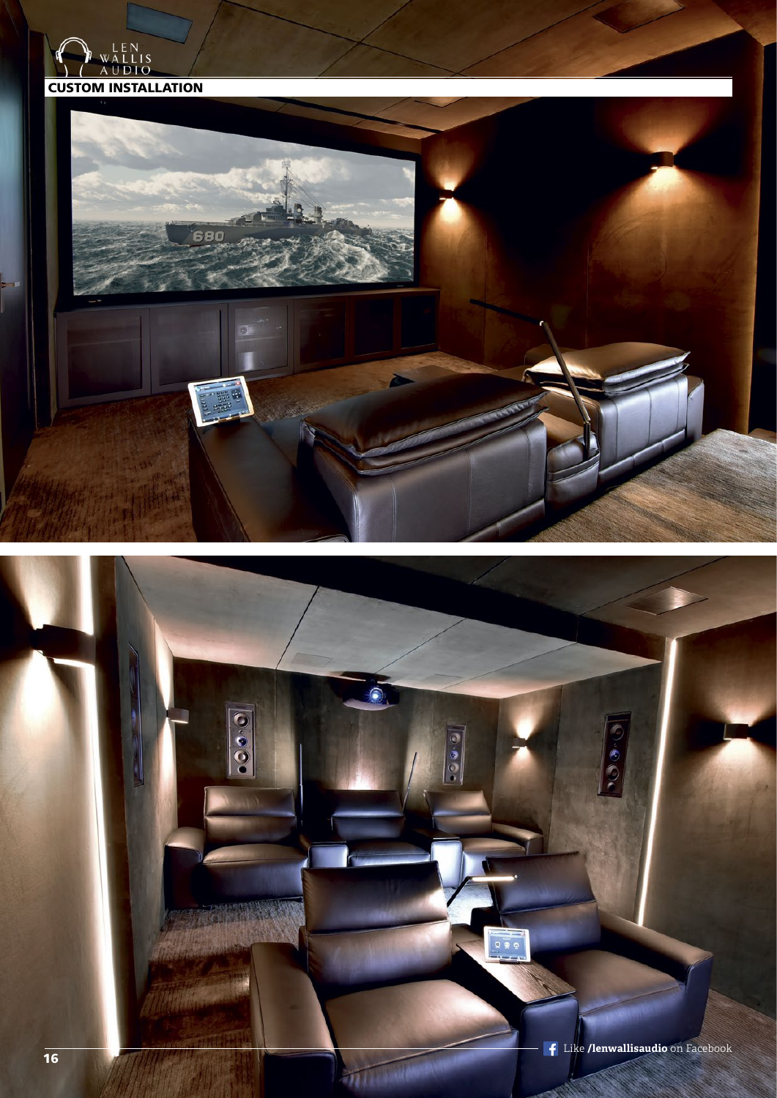



ō  $\overline{0}$ 

 $\bullet\bullet\bullet$ 

FOR THE WARD

 $m$ 

 $\odot$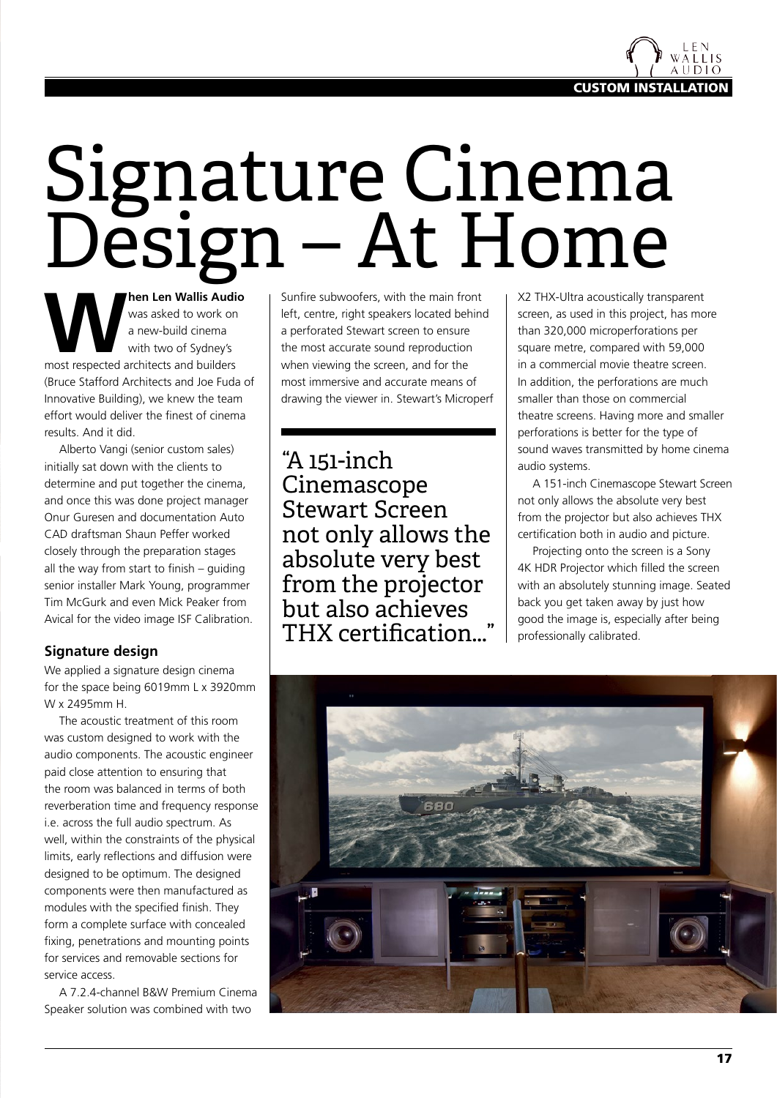

## Signature Cinema Design – At Home

**Man Len Wallis Audio**<br>
was asked to work on<br>
a new-build cinema<br>
with two of Sydney's<br>
most respected architects and builders was asked to work on a new-build cinema with two of Sydney's (Bruce Stafford Architects and Joe Fuda of Innovative Building), we knew the team effort would deliver the finest of cinema results. And it did.

Alberto Vangi (senior custom sales) initially sat down with the clients to determine and put together the cinema, and once this was done project manager Onur Guresen and documentation Auto CAD draftsman Shaun Peffer worked closely through the preparation stages all the way from start to finish – guiding senior installer Mark Young, programmer Tim McGurk and even Mick Peaker from Avical for the video image ISF Calibration.

## **Signature design**

We applied a signature design cinema for the space being 6019mm L x 3920mm W x 2495mm H.

The acoustic treatment of this room was custom designed to work with the audio components. The acoustic engineer paid close attention to ensuring that the room was balanced in terms of both reverberation time and frequency response i.e. across the full audio spectrum. As well, within the constraints of the physical limits, early reflections and diffusion were designed to be optimum. The designed components were then manufactured as modules with the specified finish. They form a complete surface with concealed fixing, penetrations and mounting points for services and removable sections for service access.

A 7.2.4-channel B&W Premium Cinema Speaker solution was combined with two

Sunfire subwoofers, with the main front left, centre, right speakers located behind a perforated Stewart screen to ensure the most accurate sound reproduction when viewing the screen, and for the most immersive and accurate means of drawing the viewer in. Stewart's Microperf

"A 151-inch Cinemascope Stewart Screen not only allows the absolute very best from the projector but also achieves THX certification...

X2 THX-Ultra acoustically transparent screen, as used in this project, has more than 320,000 microperforations per square metre, compared with 59,000 in a commercial movie theatre screen. In addition, the perforations are much smaller than those on commercial theatre screens. Having more and smaller perforations is better for the type of sound waves transmitted by home cinema audio systems.

A 151-inch Cinemascope Stewart Screen not only allows the absolute very best from the projector but also achieves THX certification both in audio and picture.

Projecting onto the screen is a Sony 4K HDR Projector which filled the screen with an absolutely stunning image. Seated back you get taken away by just how good the image is, especially after being professionally calibrated.